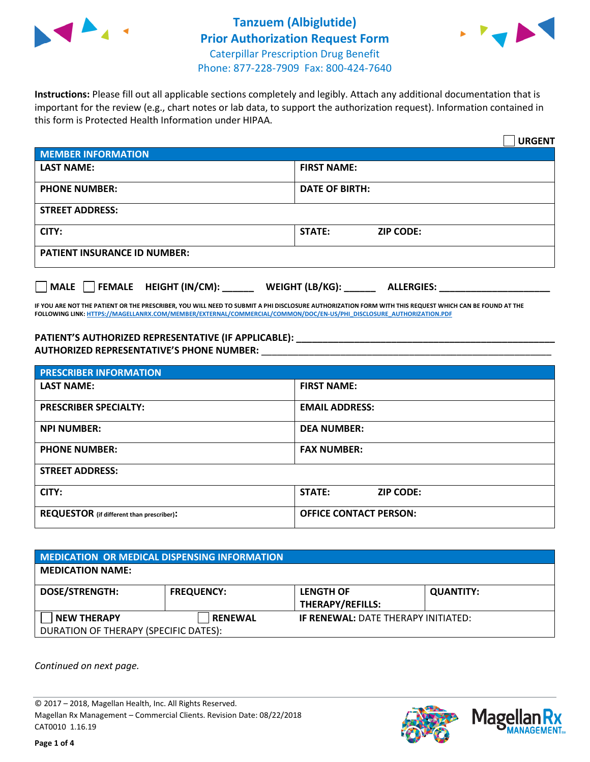



**Instructions:** Please fill out all applicable sections completely and legibly. Attach any additional documentation that is important for the review (e.g., chart notes or lab data, to support the authorization request). Information contained in this form is Protected Health Information under HIPAA.

|                                       | <b>URGENT</b>                          |  |  |  |
|---------------------------------------|----------------------------------------|--|--|--|
| <b>MEMBER INFORMATION</b>             |                                        |  |  |  |
| <b>LAST NAME:</b>                     | <b>FIRST NAME:</b>                     |  |  |  |
| <b>PHONE NUMBER:</b>                  | <b>DATE OF BIRTH:</b>                  |  |  |  |
| <b>STREET ADDRESS:</b>                |                                        |  |  |  |
| CITY:                                 | <b>ZIP CODE:</b><br>STATE:             |  |  |  |
| <b>PATIENT INSURANCE ID NUMBER:</b>   |                                        |  |  |  |
| FEMALE HEIGHT (IN/CM):<br><b>MALE</b> | WEIGHT (LB/KG): _<br><b>ALLERGIES:</b> |  |  |  |

**IF YOU ARE NOT THE PATIENT OR THE PRESCRIBER, YOU WILL NEED TO SUBMIT A PHI DISCLOSURE AUTHORIZATION FORM WITH THIS REQUEST WHICH CAN BE FOUND AT THE FOLLOWING LINK[: HTTPS://MAGELLANRX.COM/MEMBER/EXTERNAL/COMMERCIAL/COMMON/DOC/EN-US/PHI\\_DISCLOSURE\\_AUTHORIZATION.PDF](https://magellanrx.com/member/external/commercial/common/doc/en-us/PHI_Disclosure_Authorization.pdf)**

**PATIENT'S AUTHORIZED REPRESENTATIVE (IF APPLICABLE): \_\_\_\_\_\_\_\_\_\_\_\_\_\_\_\_\_\_\_\_\_\_\_\_\_\_\_\_\_\_\_\_\_\_\_\_\_\_\_\_\_\_\_\_\_\_\_\_\_ AUTHORIZED REPRESENTATIVE'S PHONE NUMBER:** \_\_\_\_\_\_\_\_\_\_\_\_\_\_\_\_\_\_\_\_\_\_\_\_\_\_\_\_\_\_\_\_\_\_\_\_\_\_\_\_\_\_\_\_\_\_\_\_\_\_\_\_\_\_\_

| <b>PRESCRIBER INFORMATION</b>             |                                   |  |  |  |
|-------------------------------------------|-----------------------------------|--|--|--|
| <b>LAST NAME:</b>                         | <b>FIRST NAME:</b>                |  |  |  |
| <b>PRESCRIBER SPECIALTY:</b>              | <b>EMAIL ADDRESS:</b>             |  |  |  |
| <b>NPI NUMBER:</b>                        | <b>DEA NUMBER:</b>                |  |  |  |
| <b>PHONE NUMBER:</b>                      | <b>FAX NUMBER:</b>                |  |  |  |
| <b>STREET ADDRESS:</b>                    |                                   |  |  |  |
| CITY:                                     | <b>STATE:</b><br><b>ZIP CODE:</b> |  |  |  |
| REQUESTOR (if different than prescriber): | <b>OFFICE CONTACT PERSON:</b>     |  |  |  |

| <b>MEDICATION OR MEDICAL DISPENSING INFORMATION</b> |                   |                                            |                  |  |
|-----------------------------------------------------|-------------------|--------------------------------------------|------------------|--|
| <b>MEDICATION NAME:</b>                             |                   |                                            |                  |  |
| <b>DOSE/STRENGTH:</b>                               | <b>FREQUENCY:</b> | <b>LENGTH OF</b>                           | <b>QUANTITY:</b> |  |
|                                                     |                   | <b>THERAPY/REFILLS:</b>                    |                  |  |
| <b>NEW THERAPY</b>                                  | <b>RENEWAL</b>    | <b>IF RENEWAL: DATE THERAPY INITIATED:</b> |                  |  |
| DURATION OF THERAPY (SPECIFIC DATES):               |                   |                                            |                  |  |

*Continued on next page.*

© 2017 – 2018, Magellan Health, Inc. All Rights Reserved. Magellan Rx Management – Commercial Clients. Revision Date: 08/22/2018 CAT0010 1.16.19



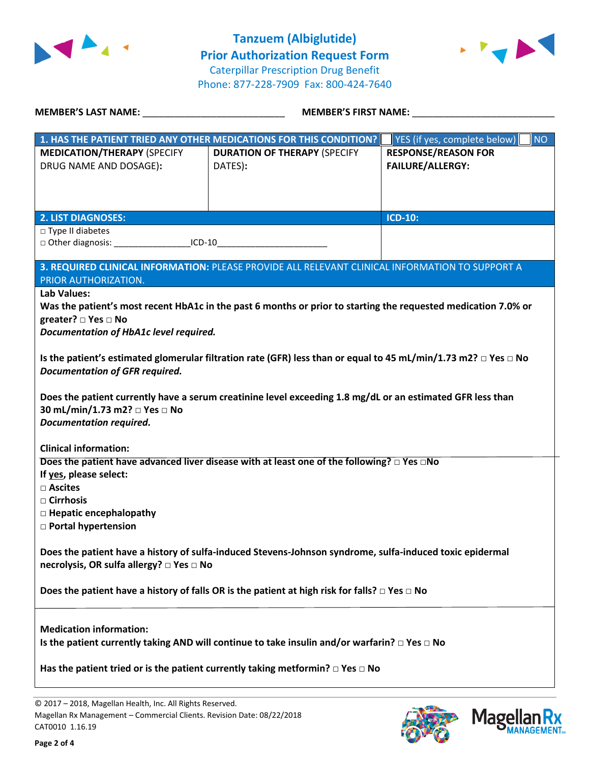

**Tanzuem (Albiglutide) Prior Authorization Request Form** Caterpillar Prescription Drug Benefit Phone: 877-228-7909 Fax: 800-424-7640



| MEMBER'S LAST NAME: NAMER SERVICES                                                                                                                                                                                                                                                                                                                                                                                                                                                                                                                                     | <b>MEMBER'S FIRST NAME:</b>                                                                           |                                                       |  |  |
|------------------------------------------------------------------------------------------------------------------------------------------------------------------------------------------------------------------------------------------------------------------------------------------------------------------------------------------------------------------------------------------------------------------------------------------------------------------------------------------------------------------------------------------------------------------------|-------------------------------------------------------------------------------------------------------|-------------------------------------------------------|--|--|
|                                                                                                                                                                                                                                                                                                                                                                                                                                                                                                                                                                        | 1. HAS THE PATIENT TRIED ANY OTHER MEDICATIONS FOR THIS CONDITION?                                    | YES (if yes, complete below)<br>NO                    |  |  |
| <b>MEDICATION/THERAPY (SPECIFY</b><br>DRUG NAME AND DOSAGE):                                                                                                                                                                                                                                                                                                                                                                                                                                                                                                           | <b>DURATION OF THERAPY (SPECIFY</b><br>DATES):                                                        | <b>RESPONSE/REASON FOR</b><br><b>FAILURE/ALLERGY:</b> |  |  |
| <b>2. LIST DIAGNOSES:</b>                                                                                                                                                                                                                                                                                                                                                                                                                                                                                                                                              |                                                                                                       | <b>ICD-10:</b>                                        |  |  |
| $\Box$ Type II diabetes<br>□ Other diagnosis: _____________________ICD-10_________________________________                                                                                                                                                                                                                                                                                                                                                                                                                                                             |                                                                                                       |                                                       |  |  |
| PRIOR AUTHORIZATION.                                                                                                                                                                                                                                                                                                                                                                                                                                                                                                                                                   | 3. REQUIRED CLINICAL INFORMATION: PLEASE PROVIDE ALL RELEVANT CLINICAL INFORMATION TO SUPPORT A       |                                                       |  |  |
| <b>Lab Values:</b><br>Was the patient's most recent HbA1c in the past 6 months or prior to starting the requested medication 7.0% or<br>greater? $\Box$ Yes $\Box$ No<br>Documentation of HbA1c level required.<br>Is the patient's estimated glomerular filtration rate (GFR) less than or equal to 45 mL/min/1.73 m2? $\Box$ Yes $\Box$ No<br><b>Documentation of GFR required.</b><br>Does the patient currently have a serum creatinine level exceeding 1.8 mg/dL or an estimated GFR less than<br>30 mL/min/1.73 m2? □ Yes □ No<br><b>Documentation required.</b> |                                                                                                       |                                                       |  |  |
| <b>Clinical information:</b><br>If yes, please select:<br>□ Ascites<br>$\Box$ Cirrhosis<br>$\Box$ Hepatic encephalopathy<br><b>D</b> Portal hypertension                                                                                                                                                                                                                                                                                                                                                                                                               | Does the patient have advanced liver disease with at least one of the following? $\Box$ Yes $\Box$ No |                                                       |  |  |
| Does the patient have a history of sulfa-induced Stevens-Johnson syndrome, sulfa-induced toxic epidermal<br>necrolysis, OR sulfa allergy? □ Yes □ No                                                                                                                                                                                                                                                                                                                                                                                                                   |                                                                                                       |                                                       |  |  |
| Does the patient have a history of falls OR is the patient at high risk for falls? $\square$ Yes $\square$ No                                                                                                                                                                                                                                                                                                                                                                                                                                                          |                                                                                                       |                                                       |  |  |
| <b>Medication information:</b><br>Is the patient currently taking AND will continue to take insulin and/or warfarin? $\Box$ Yes $\Box$ No<br>Has the patient tried or is the patient currently taking metformin? $\Box$ Yes $\Box$ No                                                                                                                                                                                                                                                                                                                                  |                                                                                                       |                                                       |  |  |

© 2017 – 2018, Magellan Health, Inc. All Rights Reserved. Magellan Rx Management – Commercial Clients. Revision Date: 08/22/2018 CAT0010 1.16.19



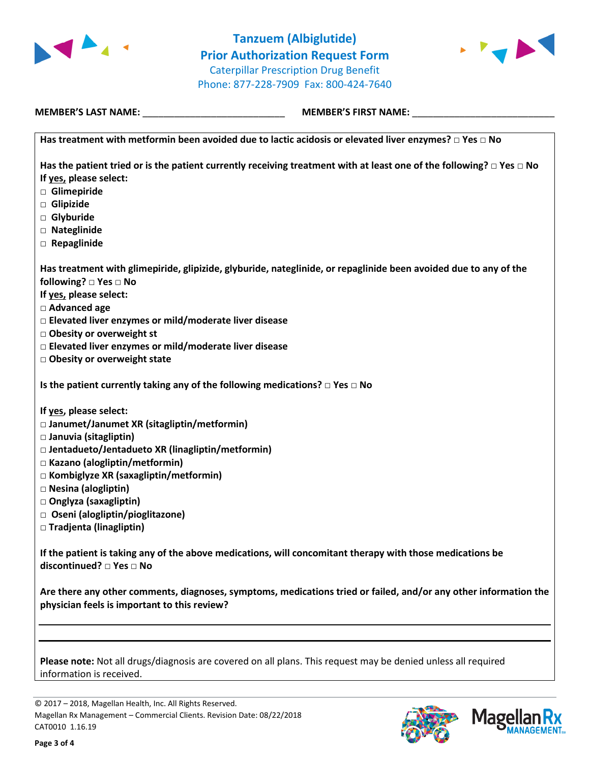

**Tanzuem (Albiglutide) Prior Authorization Request Form** Caterpillar Prescription Drug Benefit Phone: 877-228-7909 Fax: 800-424-7640



**MEMBER'S LAST NAME:** \_\_\_\_\_\_\_\_\_\_\_\_\_\_\_\_\_\_\_\_\_\_\_\_\_\_\_ **MEMBER'S FIRST NAME:** \_\_\_\_\_\_\_\_\_\_\_\_\_\_\_\_\_\_\_\_\_\_\_\_\_\_\_

**Has treatment with metformin been avoided due to lactic acidosis or elevated liver enzymes? □ Yes □ No**

**Has the patient tried or is the patient currently receiving treatment with at least one of the following? □ Yes □ No If yes, please select:**

- **□ Glimepiride**
- **□ Glipizide**
- **□ Glyburide**
- **□ Nateglinide**
- **□ Repaglinide**

**Has treatment with glimepiride, glipizide, glyburide, nateglinide, or repaglinide been avoided due to any of the following? □ Yes □ No**

**If yes, please select:**

**□ Advanced age**

- **□ Elevated liver enzymes or mild/moderate liver disease**
- **□ Obesity or overweight st**
- **□ Elevated liver enzymes or mild/moderate liver disease**
- **□ Obesity or overweight state**

**Is the patient currently taking any of the following medications? □ Yes □ No**

**If yes, please select:**

- **□ Janumet/Janumet XR (sitagliptin/metformin)**
- **□ Januvia (sitagliptin)**
- **□ Jentadueto/Jentadueto XR (linagliptin/metformin)**
- **□ Kazano (alogliptin/metformin)**
- **□ Kombiglyze XR (saxagliptin/metformin)**
- **□ Nesina (alogliptin)**
- **□ Onglyza (saxagliptin)**
- **□ Oseni (alogliptin/pioglitazone)**
- **□ Tradjenta (linagliptin)**

**If the patient is taking any of the above medications, will concomitant therapy with those medications be discontinued? □ Yes □ No**

**Are there any other comments, diagnoses, symptoms, medications tried or failed, and/or any other information the physician feels is important to this review?**

**Please note:** Not all drugs/diagnosis are covered on all plans. This request may be denied unless all required information is received.

© 2017 – 2018, Magellan Health, Inc. All Rights Reserved. Magellan Rx Management – Commercial Clients. Revision Date: 08/22/2018 CAT0010 1.16.19